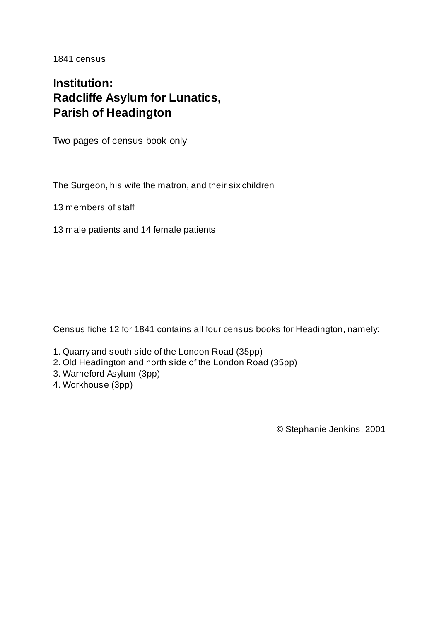1841 census

## **Institution: Radcliffe Asylum for Lunatics, Parish of Headington**

Two pages of census book only

The Surgeon, his wife the matron, and their six children

13 members of staff

13 male patients and 14 female patients

Census fiche 12 for 1841 contains all four census books for Headington, namely:

- 1. Quarry and south side of the London Road (35pp)
- 2. Old Headington and north side of the London Road (35pp)
- 3. Warneford Asylum (3pp)
- 4. Workhouse (3pp)

© Stephanie Jenkins, 2001